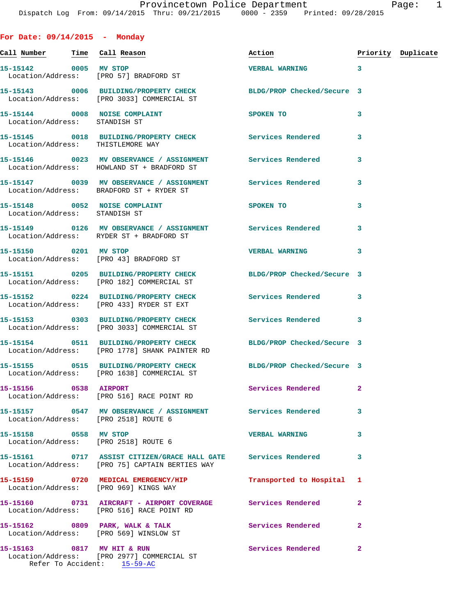**For Date: 09/14/2015 - Monday**

**Call Number Time Call Reason Action Priority Duplicate 15-15142 0005 MV STOP VERBAL WARNING 3**  Location/Address: [PRO 57] BRADFORD ST **15-15143 0006 BUILDING/PROPERTY CHECK BLDG/PROP Checked/Secure 3**  Location/Address: [PRO 3033] COMMERCIAL ST **15-15144 0008 NOISE COMPLAINT SPOKEN TO 3**  Location/Address: STANDISH ST **15-15145 0018 BUILDING/PROPERTY CHECK Services Rendered 3**  Location/Address: THISTLEMORE WAY **15-15146 0023 MV OBSERVANCE / ASSIGNMENT Services Rendered 3**  Location/Address: HOWLAND ST + BRADFORD ST **15-15147 0039 MV OBSERVANCE / ASSIGNMENT Services Rendered 3**  Location/Address: BRADFORD ST + RYDER ST 15-15148 0052 NOISE COMPLAINT **SPOKEN TO** 3 Location/Address: STANDISH ST **15-15149 0126 MV OBSERVANCE / ASSIGNMENT Services Rendered 3**  Location/Address: RYDER ST + BRADFORD ST **15-15150 0201 MV STOP VERBAL WARNING 3**  Location/Address: [PRO 43] BRADFORD ST **15-15151 0205 BUILDING/PROPERTY CHECK BLDG/PROP Checked/Secure 3**  Location/Address: [PRO 182] COMMERCIAL ST **15-15152 0224 BUILDING/PROPERTY CHECK Services Rendered 3**  Location/Address: [PRO 433] RYDER ST EXT **15-15153 0303 BUILDING/PROPERTY CHECK Services Rendered 3**  Location/Address: [PRO 3033] COMMERCIAL ST **15-15154 0511 BUILDING/PROPERTY CHECK BLDG/PROP Checked/Secure 3**  Location/Address: [PRO 1778] SHANK PAINTER RD **15-15155 0515 BUILDING/PROPERTY CHECK BLDG/PROP Checked/Secure 3**  Location/Address: [PRO 1638] COMMERCIAL ST **15-15156 0538 AIRPORT Services Rendered 2**  Location/Address: [PRO 516] RACE POINT RD **15-15157 0547 MV OBSERVANCE / ASSIGNMENT Services Rendered 3**  Location/Address: [PRO 2518] ROUTE 6 **15-15158 0558 MV STOP VERBAL WARNING 3**  Location/Address: [PRO 2518] ROUTE 6 **15-15161 0717 ASSIST CITIZEN/GRACE HALL GATE Services Rendered 3**  Location/Address: [PRO 75] CAPTAIN BERTIES WAY **15-15159 0720 MEDICAL EMERGENCY/HIP Transported to Hospital 1**  Location/Address: [PRO 969] KINGS WAY **15-15160 0731 AIRCRAFT - AIRPORT COVERAGE Services Rendered 2**  Location/Address: [PRO 516] RACE POINT RD 15-15162 0809 PARK, WALK & TALK **Services Rendered** 2 Location/Address: [PRO 569] WINSLOW ST **15-15163 0817 MV HIT & RUN Services Rendered 2**  Location/Address: [PRO 2977] COMMERCIAL ST Refer To Accident: 15-59-AC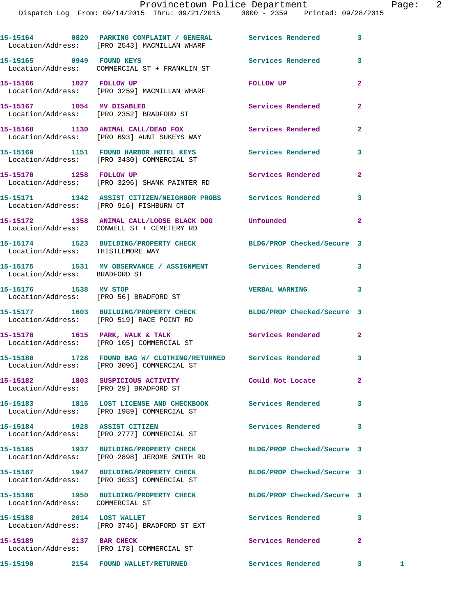|                                   | 15-15164 0820 PARKING COMPLAINT / GENERAL Services Rendered<br>Location/Address: [PRO 2543] MACMILLAN WHARF   |                            | 3              |              |
|-----------------------------------|---------------------------------------------------------------------------------------------------------------|----------------------------|----------------|--------------|
| 15-15165 0949 FOUND KEYS          | Location/Address: COMMERCIAL ST + FRANKLIN ST                                                                 | <b>Services Rendered</b>   | 3              |              |
| 15-15166 1027 FOLLOW UP           | Location/Address: [PRO 3259] MACMILLAN WHARF                                                                  | <b>FOLLOW UP</b>           | $\overline{2}$ |              |
| 15-15167 1054 MV DISABLED         | Location/Address: [PRO 2352] BRADFORD ST                                                                      | Services Rendered          | $\overline{a}$ |              |
|                                   | 15-15168 1130 ANIMAL CALL/DEAD FOX<br>Location/Address: [PRO 693] AUNT SUKEYS WAY                             | <b>Services Rendered</b>   | $\mathbf{2}$   |              |
|                                   | 15-15169 1151 FOUND HARBOR HOTEL KEYS Services Rendered<br>Location/Address: [PRO 3430] COMMERCIAL ST         |                            | 3              |              |
|                                   | 15-15170 1258 FOLLOW UP<br>Location/Address: [PRO 3296] SHANK PAINTER RD                                      | Services Rendered          | $\mathbf{2}$   |              |
|                                   | 15-15171 1342 ASSIST CITIZEN/NEIGHBOR PROBS Services Rendered<br>Location/Address: [PRO 916] FISHBURN CT      |                            | 3              |              |
|                                   | 15-15172 1358 ANIMAL CALL/LOOSE BLACK DOG Unfounded<br>Location/Address: CONWELL ST + CEMETERY RD             |                            | $\overline{2}$ |              |
| Location/Address: THISTLEMORE WAY | 15-15174 1523 BUILDING/PROPERTY CHECK BLDG/PROP Checked/Secure 3                                              |                            |                |              |
| Location/Address: BRADFORD ST     | 15-15175 1531 MV OBSERVANCE / ASSIGNMENT Services Rendered                                                    |                            | 3              |              |
| 15-15176    1538 MV STOP          | Location/Address: [PRO 56] BRADFORD ST                                                                        | <b>VERBAL WARNING</b>      | 3              |              |
|                                   | 15-15177 1603 BUILDING/PROPERTY CHECK BLDG/PROP Checked/Secure 3<br>Location/Address: [PRO 519] RACE POINT RD |                            |                |              |
|                                   | 15-15178 1615 PARK, WALK & TALK<br>Location/Address: [PRO 105] COMMERCIAL ST                                  | Services Rendered          | $\mathbf{2}$   |              |
|                                   | 15-15180 1728 FOUND BAG W/ CLOTHING/RETURNED Services Rendered<br>Location/Address: [PRO 3096] COMMERCIAL ST  |                            | 3              |              |
|                                   | 15-15182 1803 SUSPICIOUS ACTIVITY<br>Location/Address: [PRO 29] BRADFORD ST                                   | Could Not Locate           | $\mathbf{2}$   |              |
|                                   | 15-15183 1815 LOST LICENSE AND CHECKBOOK Services Rendered<br>Location/Address: [PRO 1989] COMMERCIAL ST      |                            | 3              |              |
|                                   | 15-15184 1928 ASSIST CITIZEN<br>Location/Address: [PRO 2777] COMMERCIAL ST                                    | Services Rendered          | 3              |              |
|                                   | 15-15185 1937 BUILDING/PROPERTY CHECK<br>Location/Address: [PRO 2898] JEROME SMITH RD                         | BLDG/PROP Checked/Secure 3 |                |              |
|                                   | 15-15187 1947 BUILDING/PROPERTY CHECK<br>Location/Address: [PRO 3033] COMMERCIAL ST                           | BLDG/PROP Checked/Secure 3 |                |              |
| Location/Address: COMMERCIAL ST   | 15-15186 1950 BUILDING/PROPERTY CHECK BLDG/PROP Checked/Secure 3                                              |                            |                |              |
|                                   | 15-15188 2014 LOST WALLET<br>Location/Address: [PRO 3746] BRADFORD ST EXT                                     | <b>Services Rendered</b>   | 3              |              |
| 15-15189 2137 BAR CHECK           | Location/Address: [PRO 178] COMMERCIAL ST                                                                     | Services Rendered          | $\overline{a}$ |              |
|                                   | 15-15190 2154 FOUND WALLET/RETURNED                                                                           | Services Rendered          | 3 <sub>1</sub> | $\mathbf{1}$ |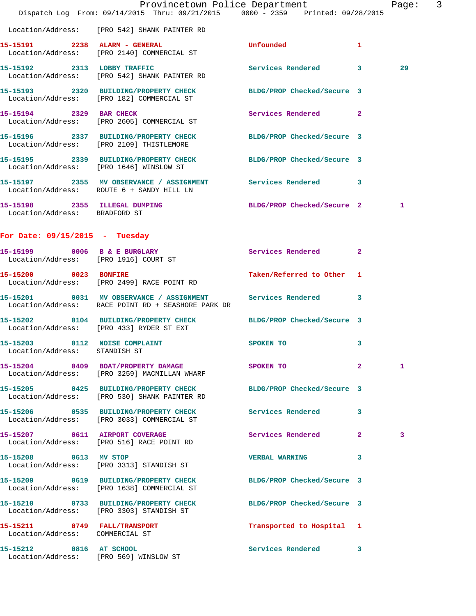|                                  |                                                                                     | Provincetown Police Department                                                                             | Page:             | $\mathsf{3}$ |
|----------------------------------|-------------------------------------------------------------------------------------|------------------------------------------------------------------------------------------------------------|-------------------|--------------|
|                                  |                                                                                     | Dispatch Log From: 09/14/2015 Thru: 09/21/2015 0000 - 2359 Printed: 09/28/2015                             |                   |              |
|                                  | Location/Address: [PRO 542] SHANK PAINTER RD                                        |                                                                                                            |                   |              |
|                                  | 15-15191 2238 ALARM - GENERAL<br>Location/Address: [PRO 2140] COMMERCIAL ST         | <b>Unfounded</b><br>$\mathbf{1}$                                                                           |                   |              |
|                                  | 15-15192 2313 LOBBY TRAFFIC<br>Location/Address: [PRO 542] SHANK PAINTER RD         | Services Rendered 3                                                                                        | 29                |              |
|                                  | Location/Address: [PRO 182] COMMERCIAL ST                                           | 15-15193 2320 BUILDING/PROPERTY CHECK BLDG/PROP Checked/Secure 3                                           |                   |              |
| 15-15194 2329 BAR CHECK          | Location/Address: [PRO 2605] COMMERCIAL ST                                          | Services Rendered 2                                                                                        |                   |              |
|                                  | Location/Address: [PRO 2109] THISTLEMORE                                            | 15-15196 2337 BUILDING/PROPERTY CHECK BLDG/PROP Checked/Secure 3                                           |                   |              |
|                                  | Location/Address: [PRO 1646] WINSLOW ST                                             | 15-15195 2339 BUILDING/PROPERTY CHECK BLDG/PROP Checked/Secure 3                                           |                   |              |
|                                  |                                                                                     | 15-15197  2355 MV OBSERVANCE / ASSIGNMENT Services Rendered 3<br>Location/Address: ROUTE 6 + SANDY HILL LN |                   |              |
| Location/Address: BRADFORD ST    |                                                                                     | 15-15198 2355 ILLEGAL DUMPING BLDG/PROP Checked/Secure 2                                                   | 1                 |              |
| For Date: $09/15/2015$ - Tuesday |                                                                                     |                                                                                                            |                   |              |
|                                  | 15-15199 0006 B & E BURGLARY<br>Location/Address: [PRO 1916] COURT ST               | Services Rendered 2                                                                                        |                   |              |
|                                  | 15-15200 0023 BONFIRE<br>Location/Address: [PRO 2499] RACE POINT RD                 | Taken/Referred to Other 1                                                                                  |                   |              |
|                                  | Location/Address: RACE POINT RD + SEASHORE PARK DR                                  | 15-15201 0031 MV OBSERVANCE / ASSIGNMENT Services Rendered<br>3                                            |                   |              |
|                                  | Location/Address: [PRO 433] RYDER ST EXT                                            | 15-15202 0104 BUILDING/PROPERTY CHECK BLDG/PROP Checked/Secure 3                                           |                   |              |
| Location/Address: STANDISH ST    | 15-15203 0112 NOISE COMPLAINT                                                       | SPOKEN TO<br>-3                                                                                            |                   |              |
|                                  | 15-15204 0409 BOAT/PROPERTY DAMAGE<br>Location/Address: [PRO 3259] MACMILLAN WHARF  | SPOKEN TO<br>$\mathbf{2}$                                                                                  | 1                 |              |
|                                  | Location/Address: [PRO 530] SHANK PAINTER RD                                        | 15-15205 0425 BUILDING/PROPERTY CHECK BLDG/PROP Checked/Secure 3                                           |                   |              |
|                                  | 15-15206 0535 BUILDING/PROPERTY CHECK<br>Location/Address: [PRO 3033] COMMERCIAL ST | <b>Services Rendered</b><br>3                                                                              |                   |              |
|                                  | 15-15207 0611 AIRPORT COVERAGE<br>Location/Address: [PRO 516] RACE POINT RD         | Services Rendered                                                                                          | $\mathbf{2}$<br>3 |              |
| 15-15208 0613 MV STOP            | Location/Address: [PRO 3313] STANDISH ST                                            | <b>VERBAL WARNING</b><br>3                                                                                 |                   |              |
|                                  | 15-15209 0619 BUILDING/PROPERTY CHECK<br>Location/Address: [PRO 1638] COMMERCIAL ST | BLDG/PROP Checked/Secure 3                                                                                 |                   |              |
|                                  | 15-15210 0733 BUILDING/PROPERTY CHECK<br>Location/Address: [PRO 3303] STANDISH ST   | BLDG/PROP Checked/Secure 3                                                                                 |                   |              |
| Location/Address: COMMERCIAL ST  | 15-15211 0749 FALL/TRANSPORT                                                        | Transported to Hospital 1                                                                                  |                   |              |
|                                  | 15-15212 0816 AT SCHOOL<br>Location/Address: [PRO 569] WINSLOW ST                   | <b>Services Rendered</b>                                                                                   | 3                 |              |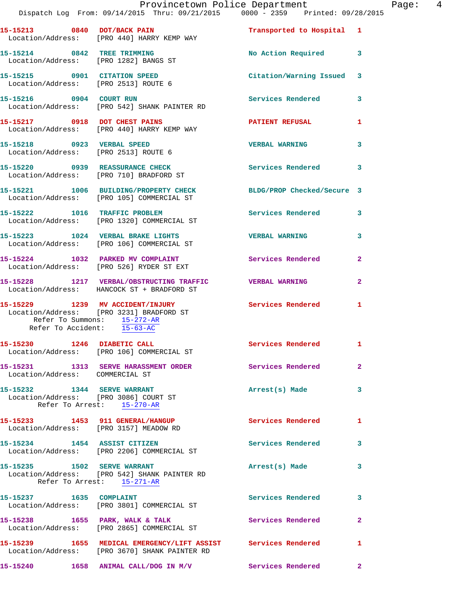|                                                                      | Dispatch Log From: 09/14/2015 Thru: 09/21/2015 0000 - 2359 Printed: 09/28/2015                                 | Provincetown Police Department |                | Page: $4$ |  |
|----------------------------------------------------------------------|----------------------------------------------------------------------------------------------------------------|--------------------------------|----------------|-----------|--|
|                                                                      | 15-15213 0840 DOT/BACK PAIN<br>Location/Address: [PRO 440] HARRY KEMP WAY                                      | Transported to Hospital 1      |                |           |  |
|                                                                      | 15-15214 0842 TREE TRIMMING<br>Location/Address: [PRO 1282] BANGS ST                                           | No Action Required 3           |                |           |  |
| 15-15215 0901 CITATION SPEED<br>Location/Address: [PRO 2513] ROUTE 6 |                                                                                                                | Citation/Warning Issued 3      |                |           |  |
|                                                                      | 15-15216 0904 COURT RUN<br>Location/Address: [PRO 542] SHANK PAINTER RD                                        | Services Rendered              | 3              |           |  |
|                                                                      | 15-15217 0918 DOT CHEST PAINS<br>Location/Address: [PRO 440] HARRY KEMP WAY                                    | PATIENT REFUSAL                | $\mathbf{1}$   |           |  |
| Location/Address: [PRO 2513] ROUTE 6                                 | 15-15218 0923 VERBAL SPEED                                                                                     | <b>VERBAL WARNING</b>          | 3              |           |  |
|                                                                      | 15-15220 0939 REASSURANCE CHECK<br>Location/Address: [PRO 710] BRADFORD ST                                     | Services Rendered              | 3              |           |  |
|                                                                      | 15-15221 1006 BUILDING/PROPERTY CHECK BLDG/PROP Checked/Secure 3<br>Location/Address: [PRO 105] COMMERCIAL ST  |                                |                |           |  |
|                                                                      | 15-15222 1016 TRAFFIC PROBLEM<br>Location/Address: [PRO 1320] COMMERCIAL ST                                    | Services Rendered 3            |                |           |  |
|                                                                      | 15-15223 1024 VERBAL BRAKE LIGHTS<br>Location/Address: [PRO 106] COMMERCIAL ST                                 | <b>VERBAL WARNING</b>          | 3              |           |  |
|                                                                      | 15-15224 1032 PARKED MV COMPLAINT Services Rendered<br>Location/Address: [PRO 526] RYDER ST EXT                |                                | $\overline{a}$ |           |  |
|                                                                      | 15-15228 1217 VERBAL/OBSTRUCTING TRAFFIC VERBAL WARNING<br>Location/Address: HANCOCK ST + BRADFORD ST          |                                | $\mathbf{2}$   |           |  |
| Refer To Accident: 15-63-AC                                          | 15-15229 1239 MV ACCIDENT/INJURY<br>Location/Address: [PRO 3231] BRADFORD ST<br>Refer To Summons: 15-272-AR    | Services Rendered              | $\mathbf{1}$   |           |  |
| 15-15230 1246 DIABETIC CALL                                          | Location/Address: [PRO 106] COMMERCIAL ST                                                                      | Services Rendered 1            |                |           |  |
| Location/Address: COMMERCIAL ST                                      | 15-15231 1313 SERVE HARASSMENT ORDER Services Rendered                                                         |                                | $\mathbf{2}$   |           |  |
| 15-15232 1344 SERVE WARRANT<br>Location/Address: [PRO 3086] COURT ST | Refer To Arrest: 15-270-AR                                                                                     | Arrest(s) Made                 | 3              |           |  |
|                                                                      | 15-15233 1453 911 GENERAL/HANGUP<br>Location/Address: [PRO 3157] MEADOW RD                                     | Services Rendered              | $\mathbf{1}$   |           |  |
|                                                                      | 15-15234 1454 ASSIST CITIZEN<br>Location/Address: [PRO 2206] COMMERCIAL ST                                     | Services Rendered              | 3              |           |  |
| 15-15235    1502    SERVE WARRANT                                    | Location/Address: [PRO 542] SHANK PAINTER RD<br>Refer To Arrest: 15-271-AR                                     | Arrest(s) Made                 | 3              |           |  |
| 15-15237 1635 COMPLAINT                                              | Location/Address: [PRO 3801] COMMERCIAL ST                                                                     | <b>Services Rendered</b>       | 3              |           |  |
|                                                                      | 15-15238 1655 PARK, WALK & TALK 1999 Services Rendered<br>Location/Address: [PRO 2865] COMMERCIAL ST           |                                | $\mathbf{2}$   |           |  |
|                                                                      | 15-15239 1655 MEDICAL EMERGENCY/LIFT ASSIST Services Rendered<br>Location/Address: [PRO 3670] SHANK PAINTER RD |                                | 1              |           |  |
|                                                                      | $15-15240$ 1658 ANIMAL CALL/DOG IN M/V                                                                         | Services Rendered              | $\mathbf{2}$   |           |  |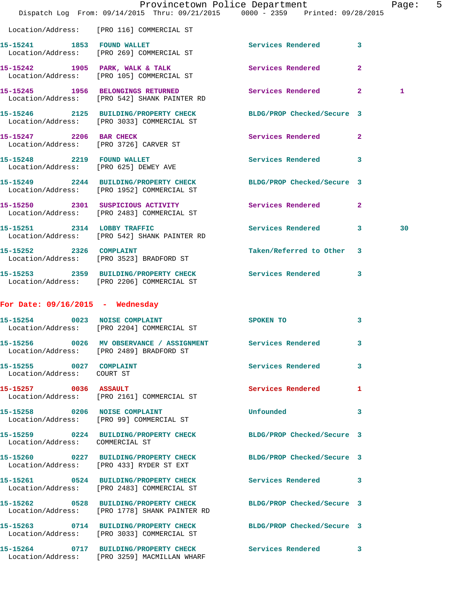|                                                                     | Dispatch Log From: 09/14/2015 Thru: 09/21/2015 0000 - 2359 Printed: 09/28/2015                                 | Provincetown Police Department |              | Page: | 5 |
|---------------------------------------------------------------------|----------------------------------------------------------------------------------------------------------------|--------------------------------|--------------|-------|---|
|                                                                     | Location/Address: [PRO 116] COMMERCIAL ST                                                                      |                                |              |       |   |
| 15-15241 1853 FOUND WALLET                                          | Location/Address: [PRO 269] COMMERCIAL ST                                                                      | Services Rendered 3            |              |       |   |
|                                                                     | 15-15242 1905 PARK, WALK & TALK<br>Location/Address: [PRO 105] COMMERCIAL ST                                   | Services Rendered              | $\mathbf{2}$ |       |   |
|                                                                     | 15-15245 1956 BELONGINGS RETURNED<br>Location/Address: [PRO 542] SHANK PAINTER RD                              | Services Rendered 2            |              | 1     |   |
|                                                                     | 15-15246 2125 BUILDING/PROPERTY CHECK<br>Location/Address: [PRO 3033] COMMERCIAL ST                            | BLDG/PROP Checked/Secure 3     |              |       |   |
| 15-15247 2206 BAR CHECK                                             | Location/Address: [PRO 3726] CARVER ST                                                                         | Services Rendered 2            |              |       |   |
| 15-15248 2219 FOUND WALLET<br>Location/Address: [PRO 625] DEWEY AVE |                                                                                                                | Services Rendered              | 3            |       |   |
|                                                                     | 15-15249 2244 BUILDING/PROPERTY CHECK<br>Location/Address: [PRO 1952] COMMERCIAL ST                            | BLDG/PROP Checked/Secure 3     |              |       |   |
|                                                                     | 15-15250 2301 SUSPICIOUS ACTIVITY<br>Location/Address: [PRO 2483] COMMERCIAL ST                                | <b>Services Rendered</b>       | $\mathbf{2}$ |       |   |
| 15-15251 2314 LOBBY TRAFFIC                                         | Location/Address: [PRO 542] SHANK PAINTER RD                                                                   | Services Rendered 3            |              | 30    |   |
| 15-15252 2326 COMPLAINT                                             | Location/Address: [PRO 3523] BRADFORD ST                                                                       | Taken/Referred to Other 3      |              |       |   |
|                                                                     | 15-15253 2359 BUILDING/PROPERTY CHECK<br>Location/Address: [PRO 2206] COMMERCIAL ST                            | Services Rendered 3            |              |       |   |
| For Date: $09/16/2015$ - Wednesday                                  |                                                                                                                |                                |              |       |   |
|                                                                     | 15-15254 0023 NOISE COMPLAINT<br>Location/Address: [PRO 2204] COMMERCIAL ST                                    | SPOKEN TO                      | 3            |       |   |
|                                                                     | 15-15256 0026 MV OBSERVANCE / ASSIGNMENT Services Rendered 3<br>Location/Address: [PRO 2489] BRADFORD ST       |                                |              |       |   |
| 15-15255 0027 COMPLAINT<br>Location/Address: COURT ST               |                                                                                                                | Services Rendered 3            |              |       |   |
| 15-15257 0036 ASSAULT                                               | Location/Address: [PRO 2161] COMMERCIAL ST                                                                     | Services Rendered 1            |              |       |   |
|                                                                     | 15-15258 0206 NOISE COMPLAINT<br>Location/Address: [PRO 99] COMMERCIAL ST                                      | Unfounded                      | 3            |       |   |
| Location/Address: COMMERCIAL ST                                     | 15-15259 0224 BUILDING/PROPERTY CHECK BLDG/PROP Checked/Secure 3                                               |                                |              |       |   |
|                                                                     | 15-15260 0227 BUILDING/PROPERTY CHECK BLDG/PROP Checked/Secure 3<br>Location/Address: [PRO 433] RYDER ST EXT   |                                |              |       |   |
|                                                                     | 15-15261 0524 BUILDING/PROPERTY CHECK Services Rendered 3<br>Location/Address: [PRO 2483] COMMERCIAL ST        |                                |              |       |   |
|                                                                     | 15-15262 0528 BUILDING/PROPERTY CHECK<br>Location/Address: [PRO 1778] SHANK PAINTER RD                         | BLDG/PROP Checked/Secure 3     |              |       |   |
|                                                                     | 15-15263 0714 BUILDING/PROPERTY CHECK BLDG/PROP Checked/Secure 3<br>Location/Address: [PRO 3033] COMMERCIAL ST |                                |              |       |   |
|                                                                     | 15-15264 0717 BUILDING/PROPERTY CHECK Services Rendered 3<br>Location/Address: [PRO 3259] MACMILLAN WHARF      |                                |              |       |   |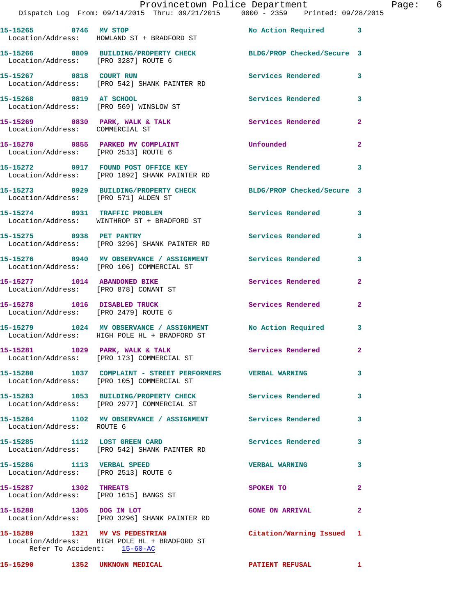|                                       | Provincetown Police Department The Page: 6<br>Dispatch Log From: 09/14/2015 Thru: 09/21/2015 0000 - 2359 Printed: 09/28/2015 |                           |                |  |
|---------------------------------------|------------------------------------------------------------------------------------------------------------------------------|---------------------------|----------------|--|
|                                       | 15-15265 0746 MV STOP<br>Location/Address: HOWLAND ST + BRADFORD ST                                                          | No Action Required 3      |                |  |
| Location/Address: [PRO 3287] ROUTE 6  | 15-15266 0809 BUILDING/PROPERTY CHECK BLDG/PROP Checked/Secure 3                                                             |                           |                |  |
|                                       |                                                                                                                              | Services Rendered 3       |                |  |
|                                       | 15-15268 0819 AT SCHOOL<br>Location/Address: [PRO 569] WINSLOW ST                                                            | Services Rendered         | $\mathbf{3}$   |  |
| Location/Address: COMMERCIAL ST       | 15-15269 0830 PARK, WALK & TALK 30 Services Rendered                                                                         |                           | $\mathbf{2}$   |  |
| Location/Address: [PRO 2513] ROUTE 6  | 15-15270 0855 PARKED MV COMPLAINT                                                                                            | <b>Unfounded</b>          | $\overline{2}$ |  |
|                                       | 15-15272 0917 FOUND POST OFFICE KEY Services Rendered 3<br>Location/Address: [PRO 1892] SHANK PAINTER RD                     |                           |                |  |
|                                       | 15-15273 0929 BUILDING/PROPERTY CHECK BLDG/PROP Checked/Secure 3<br>Location/Address: [PRO 571] ALDEN ST                     |                           |                |  |
|                                       | 15-15274 0931 TRAFFIC PROBLEM<br>Location/Address: WINTHROP ST + BRADFORD ST                                                 | Services Rendered 3       |                |  |
|                                       | 15-15275 0938 PET PANTRY<br>Location/Address: [PRO 3296] SHANK PAINTER RD                                                    | Services Rendered         | 3              |  |
|                                       | 15-15276 0940 MV OBSERVANCE / ASSIGNMENT Services Rendered<br>Location/Address: [PRO 106] COMMERCIAL ST                      |                           | 3              |  |
| Location/Address: [PRO 878] CONANT ST | 15-15277 1014 ABANDONED BIKE                                                                                                 | Services Rendered         | $\mathbf{2}$   |  |
|                                       | 15-15278 1016 DISABLED TRUCK<br>Location/Address: [PRO 2479] ROUTE 6                                                         | Services Rendered         | $\mathbf{2}$   |  |
|                                       | 15-15279 1024 MV OBSERVANCE / ASSIGNMENT No Action Required 3<br>Location/Address: HIGH POLE HL + BRADFORD ST                |                           |                |  |
|                                       | 15-15281 1029 PARK, WALK & TALK<br>Location/Address: [PRO 173] COMMERCIAL ST                                                 | Services Rendered         |                |  |
|                                       | 15-15280 1037 COMPLAINT - STREET PERFORMERS VERBAL WARNING<br>Location/Address: [PRO 105] COMMERCIAL ST                      |                           | 3              |  |
|                                       | 15-15283 1053 BUILDING/PROPERTY CHECK Services Rendered<br>Location/Address: [PRO 2977] COMMERCIAL ST                        |                           | 3              |  |
| Location/Address: ROUTE 6             | 15-15284 1102 MV OBSERVANCE / ASSIGNMENT Services Rendered                                                                   |                           | 3              |  |
|                                       | 15-15285 1112 LOST GREEN CARD<br>Location/Address: [PRO 542] SHANK PAINTER RD                                                | <b>Services Rendered</b>  | 3              |  |
| Location/Address: [PRO 2513] ROUTE 6  | 15-15286 1113 VERBAL SPEED                                                                                                   | <b>VERBAL WARNING</b>     | 3              |  |
| 15-15287 1302 THREATS                 | Location/Address: [PRO 1615] BANGS ST                                                                                        | SPOKEN TO                 | $\overline{2}$ |  |
|                                       | 15-15288 1305 DOG IN LOT<br>Location/Address: [PRO 3296] SHANK PAINTER RD                                                    | <b>GONE ON ARRIVAL</b>    | 2              |  |
|                                       | 15-15289 1321 MV VS PEDESTRIAN<br>Location/Address: HIGH POLE HL + BRADFORD ST<br>Refer To Accident: 15-60-AC                | Citation/Warning Issued 1 |                |  |

**15-15290 1352 UNKNOWN MEDICAL PATIENT REFUSAL 1**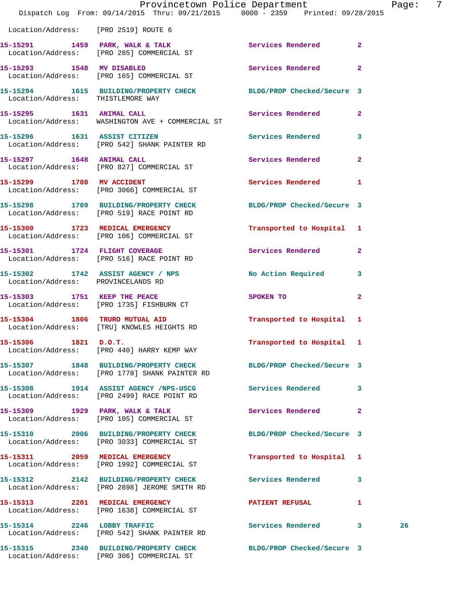|                                      | Provincetown Police Department<br>Dispatch Log From: 09/14/2015 Thru: 09/21/2015 0000 - 2359 Printed: 09/28/2015  |                                                                                                               |              | Page: 7 |  |
|--------------------------------------|-------------------------------------------------------------------------------------------------------------------|---------------------------------------------------------------------------------------------------------------|--------------|---------|--|
| Location/Address: [PRO 2519] ROUTE 6 |                                                                                                                   |                                                                                                               |              |         |  |
|                                      | 15-15291 1459 PARK, WALK & TALK Services Rendered 2<br>Location/Address: [PRO 285] COMMERCIAL ST                  |                                                                                                               |              |         |  |
|                                      | 15-15293 1548 MV DISABLED Services Rendered 2<br>Location/Address: [PRO 165] COMMERCIAL ST                        |                                                                                                               |              |         |  |
|                                      | 15-15294   1615   BUILDING/PROPERTY CHECK   BLDG/PROP Checked/Secure   3   Location/Address: THISTLEMORE WAY      |                                                                                                               |              |         |  |
|                                      | 15-15295    1631    ANIMAL CALL<br>Location/Address: WASHINGTON AVE + COMMERCIAL ST                               | Services Rendered 2                                                                                           |              |         |  |
|                                      | 15-15296 1631 ASSIST CITIZEN<br>Location/Address: [PRO 542] SHANK PAINTER RD                                      | Services Rendered 3                                                                                           |              |         |  |
|                                      | 15-15297 1648 ANIMAL CALL<br>Location/Address: [PRO 827] COMMERCIAL ST                                            | Services Rendered 2                                                                                           |              |         |  |
|                                      | 15-15299 1708 MV ACCIDENT<br>Location/Address: [PRO 3066] COMMERCIAL ST                                           | Services Rendered 1                                                                                           |              |         |  |
|                                      | 15-15298 1709 BUILDING/PROPERTY CHECK BLDG/PROP Checked/Secure 3<br>Location/Address: [PRO 519] RACE POINT RD     |                                                                                                               |              |         |  |
|                                      | 15-15300 1723 MEDICAL EMERGENCY<br>Location/Address: [PRO 106] COMMERCIAL ST                                      | Transported to Hospital 1                                                                                     |              |         |  |
|                                      | 15-15301 1724 FLIGHT COVERAGE<br>Location/Address: [PRO 516] RACE POINT RD                                        | Services Rendered 2                                                                                           |              |         |  |
| Location/Address: PROVINCELANDS RD   | 15-15302 1742 ASSIST AGENCY / NPS                                                                                 | No Action Required 3                                                                                          |              |         |  |
|                                      | 15-15303 1751 KEEP THE PEACE<br>Location/Address: [PRO 1735] FISHBURN CT                                          | SPOKEN TO AND TO A STATE OF THE STATE OF THE STATE OF THE STATE OF THE STATE OF THE STATE OF THE STATE OF THE | $\mathbf{2}$ |         |  |
|                                      | 15-15304 1806 TRURO MUTUAL AID<br>Location/Address: [TRU] KNOWLES HEIGHTS RD                                      | Transported to Hospital 1                                                                                     |              |         |  |
| 15-15306 1821 D.O.T.                 | Location/Address: [PRO 440] HARRY KEMP WAY                                                                        | Transported to Hospital 1                                                                                     |              |         |  |
|                                      | 15-15307 1848 BUILDING/PROPERTY CHECK BLDG/PROP Checked/Secure 3<br>Location/Address: [PRO 1778] SHANK PAINTER RD |                                                                                                               |              |         |  |
|                                      | 15-15308 1914 ASSIST AGENCY /NPS-USCG<br>Location/Address: [PRO 2499] RACE POINT RD                               | Services Rendered 3                                                                                           |              |         |  |
|                                      | 15-15309 1929 PARK, WALK & TALK<br>Location/Address: [PRO 105] COMMERCIAL ST                                      | Services Rendered 2                                                                                           |              |         |  |
|                                      | 15-15310 2006 BUILDING/PROPERTY CHECK<br>Location/Address: [PRO 3033] COMMERCIAL ST                               | BLDG/PROP Checked/Secure 3                                                                                    |              |         |  |
|                                      | 15-15311 2059 MEDICAL EMERGENCY<br>Location/Address: [PRO 1992] COMMERCIAL ST                                     | Transported to Hospital 1                                                                                     |              |         |  |
|                                      | 15-15312 2142 BUILDING/PROPERTY CHECK Services Rendered<br>Location/Address: [PRO 2898] JEROME SMITH RD           |                                                                                                               | $\mathbf{3}$ |         |  |
|                                      | 15-15313 2201 MEDICAL EMERGENCY<br>Location/Address: [PRO 1638] COMMERCIAL ST                                     | <b>PATIENT REFUSAL</b>                                                                                        | $\mathbf{1}$ |         |  |
|                                      | 15-15314 2246 LOBBY TRAFFIC<br>Location/Address: [PRO 542] SHANK PAINTER RD                                       | Services Rendered 3                                                                                           |              | 26      |  |
|                                      | 15-15315 2340 BUILDING/PROPERTY CHECK BLDG/PROP Checked/Secure 3                                                  |                                                                                                               |              |         |  |

Location/Address: [PRO 306] COMMERCIAL ST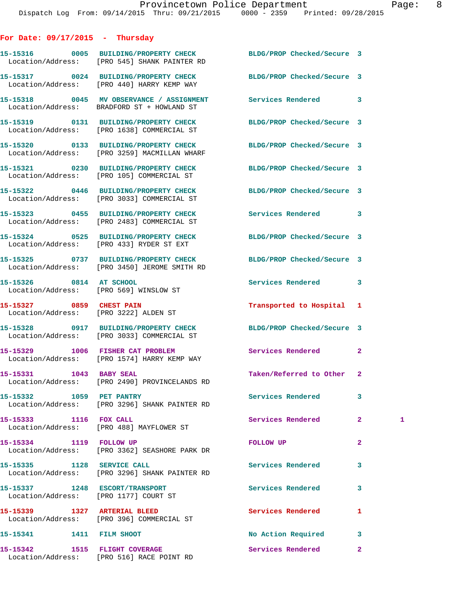## **For Date: 09/17/2015 - Thursday**

Location/Address: [PRO 516] RACE POINT RD

|                                | 15-15316 0005 BUILDING/PROPERTY CHECK<br>Location/Address: [PRO 545] SHANK PAINTER RD                            | BLDG/PROP Checked/Secure 3 |                |   |
|--------------------------------|------------------------------------------------------------------------------------------------------------------|----------------------------|----------------|---|
|                                | 15-15317 0024 BUILDING/PROPERTY CHECK<br>Location/Address: [PRO 440] HARRY KEMP WAY                              | BLDG/PROP Checked/Secure 3 |                |   |
|                                | 15-15318 0045 MV OBSERVANCE / ASSIGNMENT Services Rendered<br>Location/Address: BRADFORD ST + HOWLAND ST         |                            | 3              |   |
|                                | 15-15319 0131 BUILDING/PROPERTY CHECK<br>Location/Address: [PRO 1638] COMMERCIAL ST                              | BLDG/PROP Checked/Secure 3 |                |   |
|                                | 15-15320 0133 BUILDING/PROPERTY CHECK<br>Location/Address: [PRO 3259] MACMILLAN WHARF                            | BLDG/PROP Checked/Secure 3 |                |   |
|                                | 15-15321 0230 BUILDING/PROPERTY CHECK<br>Location/Address: [PRO 105] COMMERCIAL ST                               | BLDG/PROP Checked/Secure 3 |                |   |
|                                | 15-15322 0446 BUILDING/PROPERTY CHECK<br>Location/Address: [PRO 3033] COMMERCIAL ST                              | BLDG/PROP Checked/Secure 3 |                |   |
|                                | 15-15323 0455 BUILDING/PROPERTY CHECK<br>Location/Address: [PRO 2483] COMMERCIAL ST                              | Services Rendered          | 3              |   |
|                                | 15-15324 0525 BUILDING/PROPERTY CHECK<br>Location/Address: [PRO 433] RYDER ST EXT                                | BLDG/PROP Checked/Secure 3 |                |   |
|                                | 15-15325 0737 BUILDING/PROPERTY CHECK BLDG/PROP Checked/Secure 3<br>Location/Address: [PRO 3450] JEROME SMITH RD |                            |                |   |
| 15-15326 0814 AT SCHOOL        | Location/Address: [PRO 569] WINSLOW ST                                                                           | Services Rendered          | 3              |   |
| 15-15327 0859 CHEST PAIN       | Location/Address: [PRO 3222] ALDEN ST                                                                            | Transported to Hospital 1  |                |   |
|                                | 15-15328 0917 BUILDING/PROPERTY CHECK BLDG/PROP Checked/Secure 3<br>Location/Address: [PRO 3033] COMMERCIAL ST   |                            |                |   |
|                                | 15-15329 1006 FISHER CAT PROBLEM<br>Location/Address: [PRO 1574] HARRY KEMP WAY                                  | Services Rendered          | $\mathbf{2}$   |   |
|                                | 15-15331 1043 BABY SEAL<br>Location/Address: [PRO 2490] PROVINCELANDS RD                                         | Taken/Referred to Other 2  |                |   |
| 15-15332 1059 PET PANTRY       | Location/Address: [PRO 3296] SHANK PAINTER RD                                                                    | <b>Services Rendered</b>   |                |   |
| 15-15333 1116 FOX CALL         | Location/Address: [PRO 488] MAYFLOWER ST                                                                         | Services Rendered          | $\mathbf{2}$   | 1 |
| 15-15334 1119 FOLLOW UP        | Location/Address: [PRO 3362] SEASHORE PARK DR                                                                    | <b>FOLLOW UP</b>           | $\overline{a}$ |   |
| 15-15335 1128 SERVICE CALL     | Location/Address: [PRO 3296] SHANK PAINTER RD                                                                    | <b>Services Rendered</b>   | 3              |   |
| 15-15337 1248 ESCORT/TRANSPORT | Location/Address: [PRO 1177] COURT ST                                                                            | Services Rendered          | 3              |   |
|                                | 15-15339 1327 ARTERIAL BLEED<br>Location/Address: [PRO 396] COMMERCIAL ST                                        | Services Rendered          | 1              |   |
| 15-15341 1411 FILM SHOOT       |                                                                                                                  | No Action Required         | 3              |   |
| 15-15342 1515 FLIGHT COVERAGE  |                                                                                                                  | Services Rendered          | $\mathbf{2}$   |   |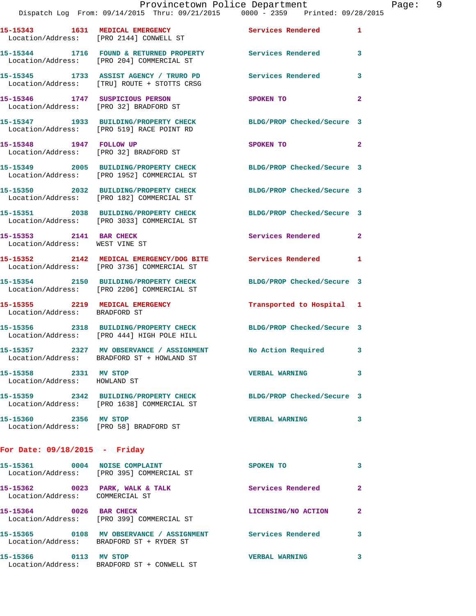|                                                           | Provincetown Police Department<br>Dispatch Log From: 09/14/2015 Thru: 09/21/2015 0000 - 2359 Printed: 09/28/2015 |                            |                |
|-----------------------------------------------------------|------------------------------------------------------------------------------------------------------------------|----------------------------|----------------|
|                                                           | 15-15343 1631 MEDICAL EMERGENCY<br>Location/Address: [PRO 2144] CONWELL ST                                       | Services Rendered          | 1              |
|                                                           | 15-15344 1716 FOUND & RETURNED PROPERTY Services Rendered<br>Location/Address: [PRO 204] COMMERCIAL ST           |                            | 3              |
|                                                           | 15-15345 1733 ASSIST AGENCY / TRURO PD<br>Location/Address: [TRU] ROUTE + STOTTS CRSG                            | <b>Services Rendered</b>   | 3              |
|                                                           | 15-15346 1747 SUSPICIOUS PERSON<br>Location/Address: [PRO 32] BRADFORD ST                                        | SPOKEN TO                  | $\overline{a}$ |
|                                                           | 15-15347 1933 BUILDING/PROPERTY CHECK<br>Location/Address: [PRO 519] RACE POINT RD                               | BLDG/PROP Checked/Secure 3 |                |
| 15-15348 1947 FOLLOW UP                                   | Location/Address: [PRO 32] BRADFORD ST                                                                           | SPOKEN TO                  | $\overline{a}$ |
|                                                           | 15-15349 2005 BUILDING/PROPERTY CHECK<br>Location/Address: [PRO 1952] COMMERCIAL ST                              | BLDG/PROP Checked/Secure 3 |                |
|                                                           | 15-15350 2032 BUILDING/PROPERTY CHECK<br>Location/Address: [PRO 182] COMMERCIAL ST                               | BLDG/PROP Checked/Secure 3 |                |
|                                                           | 15-15351 2038 BUILDING/PROPERTY CHECK<br>Location/Address: [PRO 3033] COMMERCIAL ST                              | BLDG/PROP Checked/Secure 3 |                |
| 15-15353 2141 BAR CHECK<br>Location/Address: WEST VINE ST |                                                                                                                  | Services Rendered          | $\mathbf{2}$   |
|                                                           | 15-15352 2142 MEDICAL EMERGENCY/DOG BITE Services Rendered<br>Location/Address: [PRO 3736] COMMERCIAL ST         |                            | 1              |
|                                                           | 15-15354 2150 BUILDING/PROPERTY CHECK<br>Location/Address: [PRO 2206] COMMERCIAL ST                              | BLDG/PROP Checked/Secure 3 |                |
| Location/Address: BRADFORD ST                             | 15-15355 2219 MEDICAL EMERGENCY                                                                                  | Transported to Hospital 1  |                |
|                                                           | 15-15356 2318 BUILDING/PROPERTY CHECK<br>Location/Address: [PRO 444] HIGH POLE HILL                              | BLDG/PROP Checked/Secure 3 |                |
|                                                           | 15-15357 2327 MV OBSERVANCE / ASSIGNMENT<br>Location/Address: BRADFORD ST + HOWLAND ST                           | No Action Required         | 3              |
| 15-15358 2331 MV STOP<br>Location/Address: HOWLAND ST     |                                                                                                                  | <b>VERBAL WARNING</b>      | 3              |
|                                                           | 15-15359 2342 BUILDING/PROPERTY CHECK<br>Location/Address: [PRO 1638] COMMERCIAL ST                              | BLDG/PROP Checked/Secure 3 |                |
| 15-15360 2356 MV STOP                                     | Location/Address: [PRO 58] BRADFORD ST                                                                           | <b>VERBAL WARNING</b>      | 3              |
| For Date: $09/18/2015$ - Friday                           |                                                                                                                  |                            |                |
| 15-15361 0004 NOISE COMPLAINT                             | Location/Address: [PRO 395] COMMERCIAL ST                                                                        | SPOKEN TO                  | 3              |

**15-15362 0023 PARK, WALK & TALK Services Rendered 2**  Location/Address: COMMERCIAL ST **15-15364 0026 BAR CHECK LICENSING/NO ACTION 2**  Location/Address: [PRO 399] COMMERCIAL ST **15-15365 0108 MV OBSERVANCE / ASSIGNMENT Services Rendered 3**  Location/Address: BRADFORD ST + RYDER ST **15-15366 0113 MV STOP VERBAL WARNING 3**  Location/Address: BRADFORD ST + CONWELL ST

Page: 9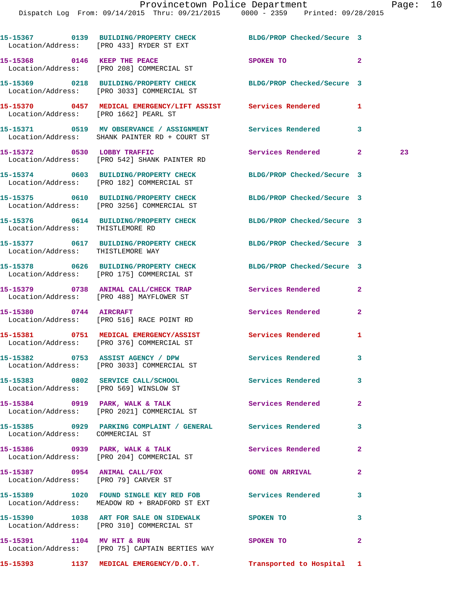|                                   | 15-15367 0139 BUILDING/PROPERTY CHECK BLDG/PROP Checked/Secure 3<br>Location/Address: [PRO 433] RYDER ST EXT        |                            |                |    |
|-----------------------------------|---------------------------------------------------------------------------------------------------------------------|----------------------------|----------------|----|
|                                   | 15-15368 0146 KEEP THE PEACE<br>Location/Address: [PRO 208] COMMERCIAL ST                                           | SPOKEN TO                  | $\mathbf{2}$   |    |
|                                   | 15-15369 0218 BUILDING/PROPERTY CHECK BLDG/PROP Checked/Secure 3<br>Location/Address: [PRO 3033] COMMERCIAL ST      |                            |                |    |
|                                   | 15-15370      0457   MEDICAL EMERGENCY/LIFT ASSIST     Services Rendered<br>Location/Address:   [PRO 1662] PEARL ST |                            | 1              |    |
|                                   | 15-15371 0519 MV OBSERVANCE / ASSIGNMENT Services Rendered<br>Location/Address: SHANK PAINTER RD + COURT ST         |                            | 3              |    |
|                                   | 15-15372 0530 LOBBY TRAFFIC<br>Location/Address: [PRO 542] SHANK PAINTER RD                                         | Services Rendered 2        |                | 23 |
|                                   | 15-15374 0603 BUILDING/PROPERTY CHECK<br>Location/Address: [PRO 182] COMMERCIAL ST                                  | BLDG/PROP Checked/Secure 3 |                |    |
|                                   | 15-15375 0610 BUILDING/PROPERTY CHECK BLDG/PROP Checked/Secure 3<br>Location/Address: [PRO 3256] COMMERCIAL ST      |                            |                |    |
| Location/Address: THISTLEMORE RD  | 15-15376 0614 BUILDING/PROPERTY CHECK BLDG/PROP Checked/Secure 3                                                    |                            |                |    |
| Location/Address: THISTLEMORE WAY | 15-15377 0617 BUILDING/PROPERTY CHECK BLDG/PROP Checked/Secure 3                                                    |                            |                |    |
|                                   | 15-15378 0626 BUILDING/PROPERTY CHECK BLDG/PROP Checked/Secure 3<br>Location/Address: [PRO 175] COMMERCIAL ST       |                            |                |    |
|                                   | 15-15379 0738 ANIMAL CALL/CHECK TRAP Services Rendered<br>Location/Address: [PRO 488] MAYFLOWER ST                  |                            | $\mathbf{2}$   |    |
|                                   | 15-15380 0744 AIRCRAFT<br>Location/Address: [PRO 516] RACE POINT RD                                                 | Services Rendered          | $\mathbf{2}$   |    |
|                                   | 15-15381 0751 MEDICAL EMERGENCY/ASSIST Services Rendered<br>Location/Address: [PRO 376] COMMERCIAL ST               |                            | 1              |    |
|                                   | 15-15382 0753 ASSIST AGENCY / DPW<br>Location/Address: [PRO 3033] COMMERCIAL ST                                     | Services Rendered 3        |                |    |
|                                   | 15-15383 0802 SERVICE CALL/SCHOOL<br>Location/Address: [PRO 569] WINSLOW ST                                         | Services Rendered          |                |    |
|                                   | 15-15384 0919 PARK, WALK & TALK 1998 Services Rendered<br>Location/Address: [PRO 2021] COMMERCIAL ST                |                            | $\overline{2}$ |    |
| Location/Address: COMMERCIAL ST   | 15-15385 0929 PARKING COMPLAINT / GENERAL Services Rendered                                                         |                            | 3              |    |
|                                   | 15-15386 0939 PARK, WALK & TALK<br>Location/Address: [PRO 204] COMMERCIAL ST                                        | Services Rendered          | $\mathbf{2}$   |    |
|                                   | 15-15387 0954 ANIMAL CALL/FOX<br>Location/Address: [PRO 79] CARVER ST                                               | <b>GONE ON ARRIVAL</b>     | $\mathbf{2}$   |    |
|                                   | 15-15389 1020 FOUND SINGLE KEY RED FOB Services Rendered<br>Location/Address: MEADOW RD + BRADFORD ST EXT           |                            | 3              |    |
|                                   | 15-15390 1038 ART FOR SALE ON SIDEWALK SPOKEN TO<br>Location/Address: [PRO 310] COMMERCIAL ST                       |                            | 3              |    |
|                                   | 15-15391 1104 MV HIT & RUN<br>Location/Address: [PRO 75] CAPTAIN BERTIES WAY                                        | SPOKEN TO                  | $\mathbf{2}$   |    |
|                                   |                                                                                                                     |                            |                |    |

**15-15393 1137 MEDICAL EMERGENCY/D.O.T. Transported to Hospital 1**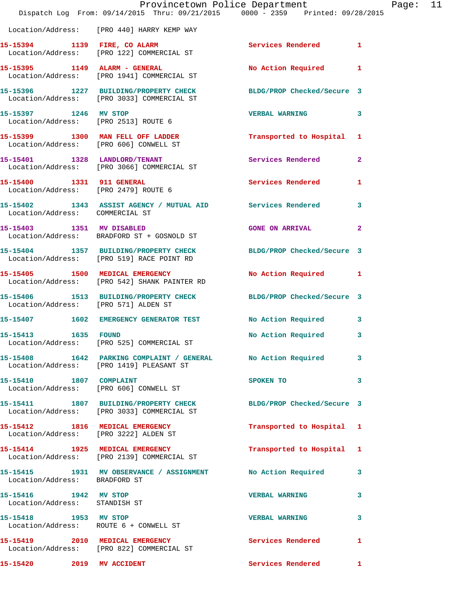|                                                        | Provincetown Police Department<br>Dispatch Log From: 09/14/2015 Thru: 09/21/2015 0000 - 2359 Printed: 09/28/2015 |                            | $P_6$          |
|--------------------------------------------------------|------------------------------------------------------------------------------------------------------------------|----------------------------|----------------|
|                                                        | Location/Address: [PRO 440] HARRY KEMP WAY                                                                       |                            |                |
|                                                        | 15-15394 1139 FIRE, CO ALARM<br>Location/Address: [PRO 122] COMMERCIAL ST                                        | Services Rendered 1        |                |
|                                                        |                                                                                                                  | No Action Required         | 1              |
|                                                        | 15-15396 1227 BUILDING/PROPERTY CHECK<br>Location/Address: [PRO 3033] COMMERCIAL ST                              | BLDG/PROP Checked/Secure 3 |                |
| 15-15397 1246 MV STOP                                  | Location/Address: [PRO 2513] ROUTE 6                                                                             | <b>VERBAL WARNING</b>      | 3              |
|                                                        | 15-15399 1300 MAN FELL OFF LADDER<br>Location/Address: [PRO 606] CONWELL ST                                      | Transported to Hospital    | 1              |
|                                                        | 15-15401 1328 LANDLORD/TENANT<br>Location/Address: [PRO 3066] COMMERCIAL ST                                      | <b>Services Rendered</b>   | $\overline{a}$ |
|                                                        | 15-15400 1331 911 GENERAL<br>Location/Address: [PRO 2479] ROUTE 6                                                | Services Rendered          | 1              |
| Location/Address: COMMERCIAL ST                        | 15-15402 1343 ASSIST AGENCY / MUTUAL AID Services Rendered                                                       |                            | 3              |
| 15-15403 1351 MV DISABLED                              | Location/Address: BRADFORD ST + GOSNOLD ST                                                                       | <b>GONE ON ARRIVAL</b>     | $\overline{a}$ |
|                                                        | 15-15404 1357 BUILDING/PROPERTY CHECK BLDG/PROP Checked/Secure 3<br>Location/Address: [PRO 519] RACE POINT RD    |                            |                |
|                                                        | 15-15405 1500 MEDICAL EMERGENCY<br>Location/Address: [PRO 542] SHANK PAINTER RD                                  | No Action Required         | 1              |
|                                                        | 15-15406 1513 BUILDING/PROPERTY CHECK BLDG/PROP Checked/Secure 3<br>Location/Address: [PRO 571] ALDEN ST         |                            |                |
|                                                        | 15-15407 1602 EMERGENCY GENERATOR TEST No Action Required                                                        |                            | 3              |
| 15-15413 1635 FOUND                                    | Location/Address: [PRO 525] COMMERCIAL ST                                                                        | No Action Required         | 3              |
|                                                        | 15-15408   1642   PARKING COMPLAINT / GENERAL   No Action Required<br>  Location/Address: [PRO 1419] PLEASANT ST |                            | 3              |
| 15-15410 1807 COMPLAINT                                | Location/Address: [PRO 606] CONWELL ST                                                                           | SPOKEN TO                  | 3              |
|                                                        | 15-15411 1807 BUILDING/PROPERTY CHECK<br>Location/Address: [PRO 3033] COMMERCIAL ST                              | BLDG/PROP Checked/Secure 3 |                |
|                                                        | 15-15412 1816 MEDICAL EMERGENCY<br>Location/Address: [PRO 3222] ALDEN ST                                         | Transported to Hospital    | 1              |
|                                                        | 15-15414 1925 MEDICAL EMERGENCY<br>Location/Address: [PRO 2139] COMMERCIAL ST                                    | Transported to Hospital 1  |                |
| Location/Address: BRADFORD ST                          | 15-15415 1931 MV OBSERVANCE / ASSIGNMENT                                                                         | No Action Required         | 3              |
| 15-15416 1942 MV STOP<br>Location/Address: STANDISH ST |                                                                                                                  | <b>VERBAL WARNING</b>      | 3              |
| 15-15418 1953 MV STOP                                  | Location/Address: ROUTE 6 + CONWELL ST                                                                           | <b>VERBAL WARNING</b>      | 3              |
|                                                        | 15-15419 2010 MEDICAL EMERGENCY<br>Location/Address: [PRO 822] COMMERCIAL ST                                     | Services Rendered          | 1              |
| 15-15420 2019 MV ACCIDENT                              |                                                                                                                  | <b>Services Rendered</b>   | 1              |

age: 11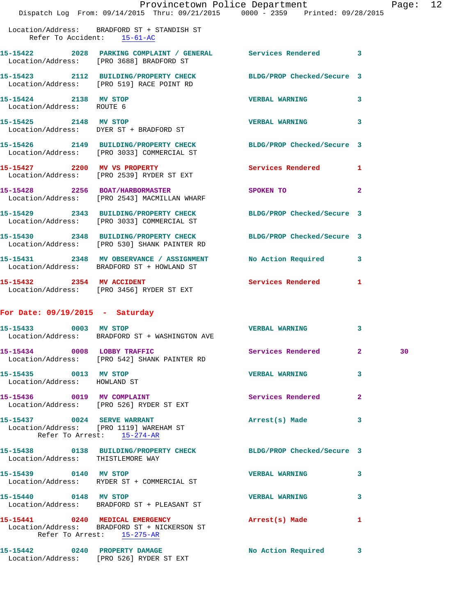|                                                       |                                                                                                                  | Provincetown Police Department The Rage: 12                                                                                                                                                                                    |                |    |  |
|-------------------------------------------------------|------------------------------------------------------------------------------------------------------------------|--------------------------------------------------------------------------------------------------------------------------------------------------------------------------------------------------------------------------------|----------------|----|--|
|                                                       | Dispatch Log From: 09/14/2015 Thru: 09/21/2015 0000 - 2359 Printed: 09/28/2015                                   |                                                                                                                                                                                                                                |                |    |  |
| Refer To Accident: 15-61-AC                           | Location/Address: BRADFORD ST + STANDISH ST                                                                      |                                                                                                                                                                                                                                |                |    |  |
|                                                       | 15-15422 2028 PARKING COMPLAINT / GENERAL Services Rendered 3<br>Location/Address: [PRO 3688] BRADFORD ST        |                                                                                                                                                                                                                                |                |    |  |
|                                                       | 15-15423 2112 BUILDING/PROPERTY CHECK BLDG/PROP Checked/Secure 3<br>Location/Address: [PRO 519] RACE POINT RD    |                                                                                                                                                                                                                                |                |    |  |
| 15-15424 2138 MV STOP<br>Location/Address: ROUTE 6    |                                                                                                                  | <b>VERBAL WARNING 3</b>                                                                                                                                                                                                        |                |    |  |
| 15-15425 2148 MV STOP                                 | 15-15425 2148 MV STOP<br>Location/Address: DYER ST + BRADFORD ST                                                 | <b>VERBAL WARNING 3</b>                                                                                                                                                                                                        |                |    |  |
|                                                       | 15-15426 2149 BUILDING/PROPERTY CHECK BLDG/PROP Checked/Secure 3<br>Location/Address: [PRO 3033] COMMERCIAL ST   |                                                                                                                                                                                                                                |                |    |  |
|                                                       | 15-15427 2200 MV VS PROPERTY Services Rendered 1<br>Location/Address: [PRO 2539] RYDER ST EXT                    |                                                                                                                                                                                                                                |                |    |  |
|                                                       | 15-15428 2256 BOAT/HARBORMASTER<br>Location/Address: [PRO 2543] MACMILLAN WHARF                                  | SPOKEN TO AND TO A RESIDENCE A RESIDENCE OF A RESIDENCE OF A RESIDENCE OF A RESIDENCE OF A REPORT OF A REPORT OF A REPORT OF A REPORT OF A REPORT OF A REPORT OF A REPORT OF A REPORT OF A REPORT OF A REPORT OF A REPORT OF A | $\overline{2}$ |    |  |
|                                                       | 15-15429 2343 BUILDING/PROPERTY CHECK BLDG/PROP Checked/Secure 3<br>Location/Address: [PRO 3033] COMMERCIAL ST   |                                                                                                                                                                                                                                |                |    |  |
|                                                       | 15-15430 2348 BUILDING/PROPERTY CHECK BLDG/PROP Checked/Secure 3<br>Location/Address: [PRO 530] SHANK PAINTER RD |                                                                                                                                                                                                                                |                |    |  |
|                                                       | 15-15431 2348 MV OBSERVANCE / ASSIGNMENT No Action Required 3<br>Location/Address: BRADFORD ST + HOWLAND ST      |                                                                                                                                                                                                                                |                |    |  |
|                                                       | 15-15432 2354 MV ACCIDENT<br>Location/Address: [PRO 3456] RYDER ST EXT                                           | Services Rendered 1                                                                                                                                                                                                            |                |    |  |
| For Date: $09/19/2015$ - Saturday                     |                                                                                                                  |                                                                                                                                                                                                                                |                |    |  |
|                                                       | 15-15433 0003 MV STOP<br>Location/Address: BRADFORD ST + WASHINGTON AVE                                          | <b>VERBAL WARNING</b>                                                                                                                                                                                                          | 3              |    |  |
|                                                       | 15-15434 0008 LOBBY TRAFFIC<br>Location/Address: [PRO 542] SHANK PAINTER RD                                      | Services Rendered 2                                                                                                                                                                                                            |                | 30 |  |
| 15-15435 0013 MV STOP<br>Location/Address: HOWLAND ST |                                                                                                                  | <b>VERBAL WARNING</b>                                                                                                                                                                                                          | 3              |    |  |
|                                                       | 15-15436 0019 MV COMPLAINT<br>Location/Address: [PRO 526] RYDER ST EXT                                           | <b>Services Rendered</b>                                                                                                                                                                                                       | $\mathbf{2}$   |    |  |
|                                                       | 15-15437 0024 SERVE WARRANT<br>Location/Address: [PRO 1119] WAREHAM ST<br>Refer To Arrest: 15-274-AR             | Arrest(s) Made                                                                                                                                                                                                                 | 3              |    |  |
| Location/Address: THISTLEMORE WAY                     | 15-15438 0138 BUILDING/PROPERTY CHECK BLDG/PROP Checked/Secure 3                                                 |                                                                                                                                                                                                                                |                |    |  |
| 15-15439 0140 MV STOP                                 | Location/Address: RYDER ST + COMMERCIAL ST                                                                       | <b>VERBAL WARNING</b>                                                                                                                                                                                                          | 3              |    |  |
| 15-15440 0148 MV STOP                                 | Location/Address: BRADFORD ST + PLEASANT ST                                                                      | <b>VERBAL WARNING</b>                                                                                                                                                                                                          | 3              |    |  |
|                                                       | 15-15441 0240 MEDICAL EMERGENCY<br>Location/Address: BRADFORD ST + NICKERSON ST<br>Refer To Arrest: 15-275-AR    | Arrest(s) Made                                                                                                                                                                                                                 | $\mathbf{1}$   |    |  |
|                                                       | 15-15442 0240 PROPERTY DAMAGE                                                                                    | No Action Required 3                                                                                                                                                                                                           |                |    |  |

Location/Address: [PRO 526] RYDER ST EXT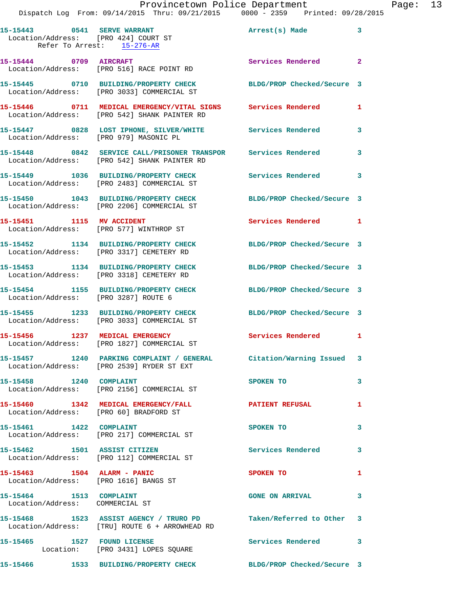|                         | 15-15443 0541 SERVE WARRANT<br>Location/Address: [PRO 424] COURT ST<br>Refer To Arrest: 15-276-AR                  | Arrest(s) Made             | $\mathbf{3}$ |
|-------------------------|--------------------------------------------------------------------------------------------------------------------|----------------------------|--------------|
| 15-15444 0709 AIRCRAFT  | Location/Address: [PRO 516] RACE POINT RD                                                                          | <b>Services Rendered</b> 2 |              |
|                         | 15-15445 0710 BUILDING/PROPERTY CHECK<br>Location/Address: [PRO 3033] COMMERCIAL ST                                | BLDG/PROP Checked/Secure 3 |              |
|                         | 15-15446 0711 MEDICAL EMERGENCY/VITAL SIGNS Services Rendered<br>Location/Address: [PRO 542] SHANK PAINTER RD      |                            | $\mathbf{1}$ |
|                         | 15-15447 0828 LOST IPHONE, SILVER/WHITE Services Rendered<br>Location/Address: [PRO 979] MASONIC PL                |                            | 3            |
|                         | 15-15448 0842 SERVICE CALL/PRISONER TRANSPOR Services Rendered<br>Location/Address: [PRO 542] SHANK PAINTER RD     |                            | 3            |
|                         | 15-15449 1036 BUILDING/PROPERTY CHECK<br>Location/Address: [PRO 2483] COMMERCIAL ST                                | <b>Services Rendered</b>   | 3            |
|                         | 15-15450 1043 BUILDING/PROPERTY CHECK<br>Location/Address: [PRO 2206] COMMERCIAL ST                                | BLDG/PROP Checked/Secure 3 |              |
|                         | 15-15451 1115 MV ACCIDENT<br>Location/Address: [PRO 577] WINTHROP ST                                               | Services Rendered 1        |              |
|                         | 15-15452 1134 BUILDING/PROPERTY CHECK<br>Location/Address: [PRO 3317] CEMETERY RD                                  | BLDG/PROP Checked/Secure 3 |              |
|                         | 15-15453 1134 BUILDING/PROPERTY CHECK<br>Location/Address: [PRO 3318] CEMETERY RD                                  | BLDG/PROP Checked/Secure 3 |              |
|                         | 15-15454 1155 BUILDING/PROPERTY CHECK<br>Location/Address: [PRO 3287] ROUTE 6                                      | BLDG/PROP Checked/Secure 3 |              |
|                         | 15-15455 1233 BUILDING/PROPERTY CHECK<br>Location/Address: [PRO 3033] COMMERCIAL ST                                | BLDG/PROP Checked/Secure 3 |              |
|                         | 15-15456 1237 MEDICAL EMERGENCY<br>Location/Address: [PRO 1827] COMMERCIAL ST                                      | Services Rendered 1        |              |
|                         | 15-15457 1240 PARKING COMPLAINT / GENERAL Citation/Warning Issued 3<br>Location/Address: [PRO 2539] RYDER ST EXT   |                            |              |
| 15-15458 1240 COMPLAINT | Location/Address: [PRO 2156] COMMERCIAL ST                                                                         | SPOKEN TO                  | 3            |
|                         | 15-15460 1342 MEDICAL EMERGENCY/FALL<br>Location/Address: [PRO 60] BRADFORD ST                                     | <b>PATIENT REFUSAL</b>     | $\mathbf{1}$ |
| 15-15461 1422 COMPLAINT | Location/Address: [PRO 217] COMMERCIAL ST                                                                          | SPOKEN TO                  | 3            |
|                         | 15-15462 1501 ASSIST CITIZEN<br>Location/Address: [PRO 112] COMMERCIAL ST                                          | Services Rendered          | $\mathbf{3}$ |
|                         | 15-15463    1504    ALARM - PANIC<br>Location/Address: [PRO 1616] BANGS ST                                         | SPOKEN TO                  | $\mathbf{1}$ |
| 15-15464 1513 COMPLAINT | Location/Address: COMMERCIAL ST                                                                                    | <b>GONE ON ARRIVAL</b>     | 3            |
|                         | 15-15468 1523 ASSIST AGENCY / TRURO PD Taken/Referred to Other 3<br>Location/Address: [TRU] ROUTE 6 + ARROWHEAD RD |                            |              |
|                         | 15-15465 1527 FOUND LICENSE<br>Location: [PRO 3431] LOPES SQUARE                                                   | Services Rendered 3        |              |
|                         | 15-15466 1533 BUILDING/PROPERTY CHECK                                                                              | BLDG/PROP Checked/Secure 3 |              |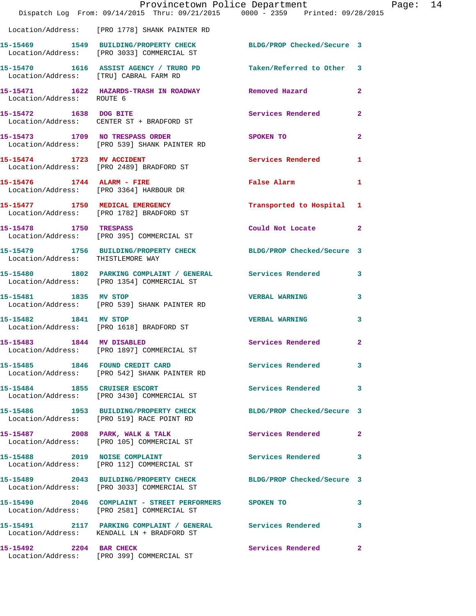|                               | Provincetown Police Department<br>Dispatch Log From: 09/14/2015 Thru: 09/21/2015 0000 - 2359 Printed: 09/28/2015 |                            |                |
|-------------------------------|------------------------------------------------------------------------------------------------------------------|----------------------------|----------------|
|                               |                                                                                                                  |                            |                |
|                               | Location/Address: [PRO 1778] SHANK PAINTER RD                                                                    |                            |                |
|                               | 15-15469 1549 BUILDING/PROPERTY CHECK<br>Location/Address: [PRO 3033] COMMERCIAL ST                              | BLDG/PROP Checked/Secure 3 |                |
|                               | 15-15470 1616 ASSIST AGENCY / TRURO PD Taken/Referred to Other<br>Location/Address: [TRU] CABRAL FARM RD         |                            | 3              |
| Location/Address: ROUTE 6     | 15-15471 1622 HAZARDS-TRASH IN ROADWAY Removed Hazard                                                            |                            | $\mathbf{2}$   |
|                               | 15-15472 1638 DOG BITE<br>Location/Address: CENTER ST + BRADFORD ST                                              | <b>Services Rendered</b>   | 2              |
|                               | 15-15473 1709 NO TRESPASS ORDER<br>Location/Address: [PRO 539] SHANK PAINTER RD                                  | SPOKEN TO                  | $\overline{a}$ |
|                               | 15-15474 1723 MV ACCIDENT<br>Location/Address: [PRO 2489] BRADFORD ST                                            | <b>Services Rendered</b>   | 1              |
| 15-15476 1744 ALARM - FIRE    | Location/Address: [PRO 3364] HARBOUR DR                                                                          | False Alarm                | 1              |
|                               | 15-15477 1750 MEDICAL EMERGENCY<br>Location/Address: [PRO 1782] BRADFORD ST                                      | Transported to Hospital 1  |                |
| 15-15478 1750 TRESPASS        | Location/Address: [PRO 395] COMMERCIAL ST                                                                        | Could Not Locate           | $\overline{2}$ |
|                               | 15-15479   1756   BUILDING/PROPERTY CHECK   BLDG/PROP Checked/Secure   3<br>Location/Address: THISTLEMORE WAY    |                            |                |
|                               | 15-15480 1802 PARKING COMPLAINT / GENERAL Services Rendered<br>Location/Address: [PRO 1354] COMMERCIAL ST        |                            | 3              |
| 15-15481 1835 MV STOP         | Location/Address: [PRO 539] SHANK PAINTER RD                                                                     | <b>VERBAL WARNING</b>      | 3              |
| 15-15482 1841 MV STOP         | Location/Address: [PRO 1618] BRADFORD ST                                                                         | <b>VERBAL WARNING</b>      | 3              |
| 15-15483 1844 MV DISABLED     | Location/Address: [PRO 1897] COMMERCIAL ST                                                                       | Services Rendered          | $\overline{2}$ |
|                               | 15-15485 1846 FOUND CREDIT CARD<br>Location/Address: [PRO 542] SHANK PAINTER RD                                  | <b>Services Rendered</b>   | 3              |
|                               | 15-15484 1855 CRUISER ESCORT<br>Location/Address: [PRO 3430] COMMERCIAL ST                                       | <b>Services Rendered</b>   | 3              |
|                               | 15-15486 1953 BUILDING/PROPERTY CHECK BLDG/PROP Checked/Secure 3<br>Location/Address: [PRO 519] RACE POINT RD    |                            |                |
|                               | 15-15487 2008 PARK, WALK & TALK<br>Location/Address: [PRO 105] COMMERCIAL ST                                     | Services Rendered          | 2              |
| 15-15488 2019 NOISE COMPLAINT | Location/Address: [PRO 112] COMMERCIAL ST                                                                        | Services Rendered          | 3              |
|                               | 15-15489 2043 BUILDING/PROPERTY CHECK BLDG/PROP Checked/Secure 3<br>Location/Address: [PRO 3033] COMMERCIAL ST   |                            |                |
|                               | 15-15490 2046 COMPLAINT - STREET PERFORMERS SPOKEN TO<br>Location/Address: [PRO 2581] COMMERCIAL ST              |                            | 3              |
|                               | Location/Address: KENDALL LN + BRADFORD ST                                                                       |                            | 3              |
| 15-15492 2204 BAR CHECK       | Location/Address: [PRO 399] COMMERCIAL ST                                                                        | Services Rendered          | $\mathbf{2}$   |

Page: 14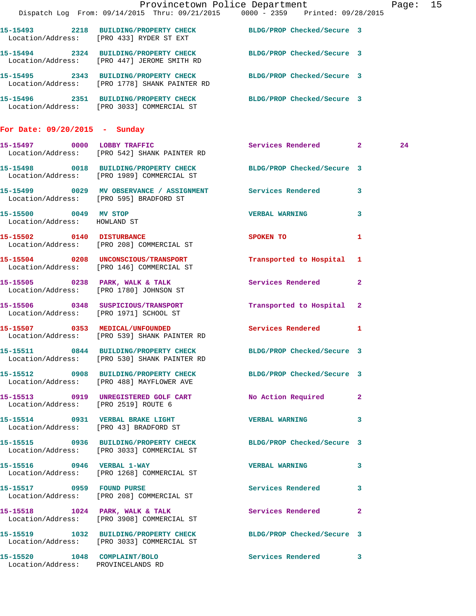|                                                                    |                                                                                       | Provincetown Police Department                                                                                    | Page: 15 |  |
|--------------------------------------------------------------------|---------------------------------------------------------------------------------------|-------------------------------------------------------------------------------------------------------------------|----------|--|
|                                                                    |                                                                                       | Dispatch Log From: 09/14/2015 Thru: 09/21/2015 0000 - 2359 Printed: 09/28/2015                                    |          |  |
|                                                                    | Location/Address: [PRO 433] RYDER ST EXT                                              | 15-15493 2218 BUILDING/PROPERTY CHECK BLDG/PROP Checked/Secure 3                                                  |          |  |
|                                                                    | Location/Address: [PRO 447] JEROME SMITH RD                                           | 15-15494 2324 BUILDING/PROPERTY CHECK BLDG/PROP Checked/Secure 3                                                  |          |  |
|                                                                    |                                                                                       | 15-15495 2343 BUILDING/PROPERTY CHECK BLDG/PROP Checked/Secure 3<br>Location/Address: [PRO 1778] SHANK PAINTER RD |          |  |
|                                                                    |                                                                                       | 15-15496 2351 BUILDING/PROPERTY CHECK BLDG/PROP Checked/Secure 3<br>Location/Address: [PRO 3033] COMMERCIAL ST    |          |  |
| For Date: 09/20/2015 - Sunday                                      |                                                                                       |                                                                                                                   |          |  |
|                                                                    | 15-15497 0000 LOBBY TRAFFIC<br>Location/Address: [PRO 542] SHANK PAINTER RD           | Services Rendered 2                                                                                               | 24       |  |
|                                                                    | Location/Address: [PRO 1989] COMMERCIAL ST                                            | 15-15498 0018 BUILDING/PROPERTY CHECK BLDG/PROP Checked/Secure 3                                                  |          |  |
|                                                                    | Location/Address: [PRO 595] BRADFORD ST                                               | 15-15499 0029 MV OBSERVANCE / ASSIGNMENT Services Rendered 3                                                      |          |  |
| 15-15500 0049 MV STOP<br>Location/Address: HOWLAND ST              |                                                                                       | <b>VERBAL WARNING</b> 3                                                                                           |          |  |
|                                                                    | 15-15502 0140 DISTURBANCE<br>Location/Address: [PRO 208] COMMERCIAL ST                | SPOKEN TO AND TO A THE SPOKEN TO<br>-1                                                                            |          |  |
|                                                                    | Location/Address: [PRO 146] COMMERCIAL ST                                             | 15-15504 0208 UNCONSCIOUS/TRANSPORT Transported to Hospital 1                                                     |          |  |
|                                                                    | 15-15505 0238 PARK, WALK & TALK<br>Location/Address: [PRO 1780] JOHNSON ST            | Services Rendered 2                                                                                               |          |  |
|                                                                    | Location/Address: [PRO 1971] SCHOOL ST                                                | 15-15506 0348 SUSPICIOUS/TRANSPORT Transported to Hospital 2                                                      |          |  |
|                                                                    | 15-15507 0353 MEDICAL/UNFOUNDED<br>Location/Address: [PRO 539] SHANK PAINTER RD       | Services Rendered 1                                                                                               |          |  |
|                                                                    | 15-15511 0844 BUILDING/PROPERTY CHECK<br>Location/Address: [PRO 530] SHANK PAINTER RD | BLDG/PROP Checked/Secure 3                                                                                        |          |  |
|                                                                    | Location/Address: [PRO 488] MAYFLOWER AVE                                             | 15-15512 0908 BUILDING/PROPERTY CHECK BLDG/PROP Checked/Secure 3                                                  |          |  |
| Location/Address: [PRO 2519] ROUTE 6                               | 15-15513 0919 UNREGISTERED GOLF CART                                                  | No Action Required 2                                                                                              |          |  |
|                                                                    | 15-15514 0931 VERBAL BRAKE LIGHT<br>Location/Address: [PRO 43] BRADFORD ST            | VERBAL WARNING 3                                                                                                  |          |  |
|                                                                    | Location/Address: [PRO 3033] COMMERCIAL ST                                            | 15-15515 0936 BUILDING/PROPERTY CHECK BLDG/PROP Checked/Secure 3                                                  |          |  |
|                                                                    | 15-15516 0946 VERBAL 1-WAY<br>Location/Address: [PRO 1268] COMMERCIAL ST              | VERBAL WARNING 3                                                                                                  |          |  |
| 15-15517 0959 FOUND PURSE                                          | Location/Address: [PRO 208] COMMERCIAL ST                                             | Services Rendered 3                                                                                               |          |  |
|                                                                    | Location/Address: [PRO 3908] COMMERCIAL ST                                            | 15-15518 1024 PARK, WALK & TALK 6 Services Rendered 2                                                             |          |  |
|                                                                    | Location/Address: [PRO 3033] COMMERCIAL ST                                            | 15-15519 1032 BUILDING/PROPERTY CHECK BLDG/PROP Checked/Secure 3                                                  |          |  |
| 15-15520 1048 COMPLAINT/BOLO<br>Location/Address: PROVINCELANDS RD |                                                                                       | Services Rendered 3                                                                                               |          |  |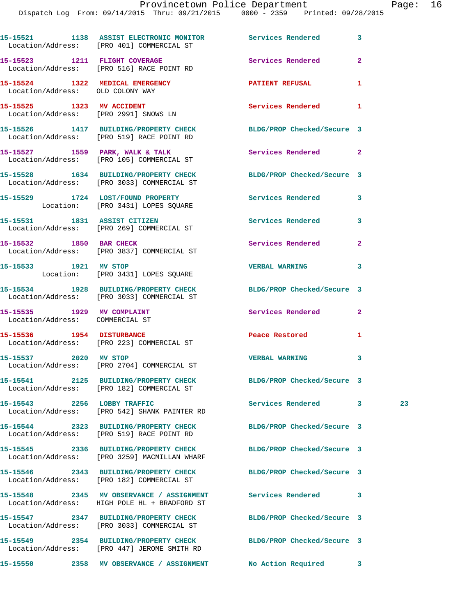|                                                                     | 15-15521 1138 ASSIST ELECTRONIC MONITOR Services Rendered<br>Location/Address: [PRO 401] COMMERCIAL ST     |                                       | 3            |    |
|---------------------------------------------------------------------|------------------------------------------------------------------------------------------------------------|---------------------------------------|--------------|----|
|                                                                     | 15-15523 1211 FLIGHT COVERAGE<br>Location/Address: [PRO 516] RACE POINT RD                                 | Services Rendered                     | $\mathbf{2}$ |    |
| 15-15524 1322 MEDICAL EMERGENCY<br>Location/Address: OLD COLONY WAY |                                                                                                            | <b>PATIENT REFUSAL</b>                | 1            |    |
|                                                                     | 15-15525 1323 MV ACCIDENT<br>Location/Address: [PRO 2991] SNOWS LN                                         | Services Rendered                     | $\mathbf{1}$ |    |
|                                                                     | 15-15526 1417 BUILDING/PROPERTY CHECK<br>Location/Address: [PRO 519] RACE POINT RD                         | BLDG/PROP Checked/Secure 3            |              |    |
|                                                                     | 15-15527 1559 PARK, WALK & TALK<br>Location/Address: [PRO 105] COMMERCIAL ST                               | Services Rendered 2                   |              |    |
|                                                                     | 15-15528 1634 BUILDING/PROPERTY CHECK<br>Location/Address: [PRO 3033] COMMERCIAL ST                        | BLDG/PROP Checked/Secure 3            |              |    |
|                                                                     | 15-15529 1724 LOST/FOUND PROPERTY<br>Location: [PRO 3431] LOPES SQUARE                                     | Services Rendered                     | 3            |    |
|                                                                     | 15-15531 1831 ASSIST CITIZEN<br>Location/Address: [PRO 269] COMMERCIAL ST                                  | Services Rendered                     | 3            |    |
|                                                                     | 15-15532 1850 BAR CHECK<br>Location/Address: [PRO 3837] COMMERCIAL ST                                      | Services Rendered                     | $\mathbf{2}$ |    |
| 15-15533 1921 MV STOP                                               | Location: [PRO 3431] LOPES SQUARE                                                                          | VERBAL WARNING 3                      |              |    |
|                                                                     | 15-15534 1928 BUILDING/PROPERTY CHECK<br>Location/Address: [PRO 3033] COMMERCIAL ST                        | BLDG/PROP Checked/Secure 3            |              |    |
| 15-15535 1929 MV COMPLAINT<br>Location/Address: COMMERCIAL ST       |                                                                                                            | Services Rendered 2                   |              |    |
|                                                                     | 15-15536 1954 DISTURBANCE<br>Location/Address: [PRO 223] COMMERCIAL ST                                     | Peace Restored and the Peace Restored | 1            |    |
| 15-15537 2020 MV STOP                                               | Location/Address: [PRO 2704] COMMERCIAL ST                                                                 | <b>VERBAL WARNING</b>                 | 3            |    |
|                                                                     | 15-15541 2125 BUILDING/PROPERTY CHECK<br>Location/Address: [PRO 182] COMMERCIAL ST                         | BLDG/PROP Checked/Secure 3            |              |    |
| 15-15543  2256  LOBBY TRAFFIC                                       | Location/Address: [PRO 542] SHANK PAINTER RD                                                               | Services Rendered 3                   |              | 23 |
|                                                                     | 15-15544 2323 BUILDING/PROPERTY CHECK<br>Location/Address: [PRO 519] RACE POINT RD                         | BLDG/PROP Checked/Secure 3            |              |    |
|                                                                     | 15-15545 2336 BUILDING/PROPERTY CHECK<br>Location/Address: [PRO 3259] MACMILLAN WHARF                      | BLDG/PROP Checked/Secure 3            |              |    |
|                                                                     | 15-15546 2343 BUILDING/PROPERTY CHECK<br>Location/Address: [PRO 182] COMMERCIAL ST                         | BLDG/PROP Checked/Secure 3            |              |    |
|                                                                     | 15-15548 2345 MV OBSERVANCE / ASSIGNMENT Services Rendered<br>Location/Address: HIGH POLE HL + BRADFORD ST |                                       | 3            |    |
|                                                                     | 15-15547 2347 BUILDING/PROPERTY CHECK<br>Location/Address: [PRO 3033] COMMERCIAL ST                        | BLDG/PROP Checked/Secure 3            |              |    |
|                                                                     | 15-15549 2354 BUILDING/PROPERTY CHECK<br>Location/Address: [PRO 447] JEROME SMITH RD                       | BLDG/PROP Checked/Secure 3            |              |    |
|                                                                     |                                                                                                            |                                       |              |    |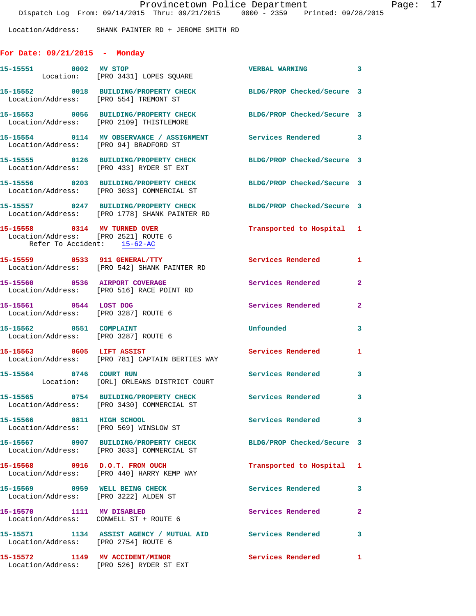Location/Address: SHANK PAINTER RD + JEROME SMITH RD

## **For Date: 09/21/2015 - Monday**

| 15-15551 0002 MV STOP                                                                               | Location: [PRO 3431] LOPES SQUARE                                                      | <b>VERBAL WARNING</b>      | $\overline{\mathbf{3}}$ |
|-----------------------------------------------------------------------------------------------------|----------------------------------------------------------------------------------------|----------------------------|-------------------------|
| Location/Address: [PRO 554] TREMONT ST                                                              | 15-15552 0018 BUILDING/PROPERTY CHECK                                                  | BLDG/PROP Checked/Secure 3 |                         |
|                                                                                                     | 15-15553 0056 BUILDING/PROPERTY CHECK<br>Location/Address: [PRO 2109] THISTLEMORE      | BLDG/PROP Checked/Secure 3 |                         |
| Location/Address: [PRO 94] BRADFORD ST                                                              | 15-15554 0114 MV OBSERVANCE / ASSIGNMENT Services Rendered 3                           |                            |                         |
|                                                                                                     | 15-15555 0126 BUILDING/PROPERTY CHECK<br>Location/Address: [PRO 433] RYDER ST EXT      | BLDG/PROP Checked/Secure 3 |                         |
|                                                                                                     | 15-15556 0203 BUILDING/PROPERTY CHECK<br>Location/Address: [PRO 3033] COMMERCIAL ST    | BLDG/PROP Checked/Secure 3 |                         |
|                                                                                                     | 15-15557 0247 BUILDING/PROPERTY CHECK<br>Location/Address: [PRO 1778] SHANK PAINTER RD | BLDG/PROP Checked/Secure 3 |                         |
| 15-15558 0314 MV TURNED OVER<br>Location/Address: [PRO 2521] ROUTE 6<br>Refer To Accident: 15-62-AC |                                                                                        | Transported to Hospital 1  |                         |
|                                                                                                     | 15-15559 0533 911 GENERAL/TTY<br>Location/Address: [PRO 542] SHANK PAINTER RD          | <b>Services Rendered</b>   | $\mathbf{1}$            |
| 15-15560 0536 AIRPORT COVERAGE                                                                      | Location/Address: [PRO 516] RACE POINT RD                                              | Services Rendered          | $\mathbf{2}$            |
| 15-15561 0544 LOST DOG<br>Location/Address: [PRO 3287] ROUTE 6                                      |                                                                                        | Services Rendered          | $\overline{\mathbf{2}}$ |
| 15-15562 0551 COMPLAINT<br>Location/Address: [PRO 3287] ROUTE 6                                     |                                                                                        | Unfounded                  | 3                       |
| 15-15563 0605 LIFT ASSIST                                                                           | Location/Address: [PRO 781] CAPTAIN BERTIES WAY                                        | Services Rendered          | 1                       |
| 15-15564 0746 COURT RUN                                                                             | Location: [ORL] ORLEANS DISTRICT COURT                                                 | <b>Services Rendered</b>   | 3                       |
|                                                                                                     | 15-15565 0754 BUILDING/PROPERTY CHECK<br>Location/Address: [PRO 3430] COMMERCIAL ST    | Services Rendered          | $\mathbf{3}$            |
| 15-15566 0811 HIGH SCHOOL                                                                           | Location/Address: [PRO 569] WINSLOW ST                                                 | <b>Services Rendered</b>   | $\mathbf{3}$            |
|                                                                                                     | 15-15567 0907 BUILDING/PROPERTY CHECK<br>Location/Address: [PRO 3033] COMMERCIAL ST    | BLDG/PROP Checked/Secure 3 |                         |
|                                                                                                     | 15-15568 0916 D.O.T. FROM OUCH<br>Location/Address: [PRO 440] HARRY KEMP WAY           | Transported to Hospital 1  |                         |
| 15-15569 0959 WELL BEING CHECK                                                                      | Location/Address: [PRO 3222] ALDEN ST                                                  | Services Rendered          | 3                       |
| 15-15570 1111 MV DISABLED                                                                           | Location/Address: CONWELL ST + ROUTE 6                                                 | Services Rendered          | $\mathbf{2}$            |
| Location/Address: [PRO 2754] ROUTE 6                                                                | 15-15571 1134 ASSIST AGENCY / MUTUAL AID                                               | <b>Services Rendered</b>   | $\overline{\mathbf{3}}$ |
|                                                                                                     | 15-15572 1149 MV ACCIDENT/MINOR<br>Location/Address: [PRO 526] RYDER ST EXT            | Services Rendered          | 1                       |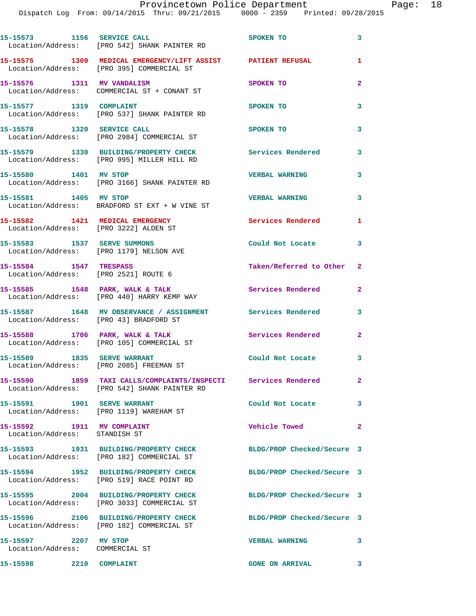|                                                             | 15-15573 1156 SERVICE CALL<br>Location/Address: [PRO 542] SHANK PAINTER RD                                     | SPOKEN TO                  | 3                       |
|-------------------------------------------------------------|----------------------------------------------------------------------------------------------------------------|----------------------------|-------------------------|
|                                                             | 15-15575 1309 MEDICAL EMERGENCY/LIFT ASSIST PATIENT REFUSAL<br>Location/Address: [PRO 395] COMMERCIAL ST       |                            | 1                       |
|                                                             | 15-15576 1311 MV VANDALISM<br>Location/Address: COMMERCIAL ST + CONANT ST                                      | SPOKEN TO                  | $\overline{2}$          |
| 15-15577 1319 COMPLAINT                                     | Location/Address: [PRO 537] SHANK PAINTER RD                                                                   | SPOKEN TO                  | 3                       |
| 15-15578 1320 SERVICE CALL                                  | Location/Address: [PRO 2984] COMMERCIAL ST                                                                     | SPOKEN TO                  | 3                       |
|                                                             | 15-15579 1330 BUILDING/PROPERTY CHECK<br>Location/Address: [PRO 995] MILLER HILL RD                            | Services Rendered          | 3                       |
| 15-15580 1401 MV STOP                                       | Location/Address: [PRO 3166] SHANK PAINTER RD                                                                  | <b>VERBAL WARNING</b>      | 3                       |
| 15-15581 1405 MV STOP                                       | Location/Address: BRADFORD ST EXT + W VINE ST                                                                  | <b>VERBAL WARNING</b>      | 3                       |
|                                                             | 15-15582 1421 MEDICAL EMERGENCY<br>Location/Address: [PRO 3222] ALDEN ST                                       | <b>Services Rendered</b>   | 1                       |
|                                                             | 15-15583 1537 SERVE SUMMONS<br>Location/Address: [PRO 1179] NELSON AVE                                         | Could Not Locate           | 3                       |
| 15-15584 1547 TRESPASS                                      | Location/Address: [PRO 2521] ROUTE 6                                                                           | Taken/Referred to Other    | 2                       |
|                                                             | 15-15585 1548 PARK, WALK & TALK<br>Location/Address: [PRO 440] HARRY KEMP WAY                                  | <b>Services Rendered</b>   | $\mathbf{2}$            |
| Location/Address: [PRO 43] BRADFORD ST                      | 15-15587 1648 MV OBSERVANCE / ASSIGNMENT Services Rendered                                                     |                            | 3                       |
|                                                             | 15-15588 1706 PARK, WALK & TALK<br>Location/Address: [PRO 105] COMMERCIAL ST                                   | Services Rendered          | $\mathbf{2}$            |
| 15-15589 1835 SERVE WARRANT                                 | Location/Address: [PRO 2085] FREEMAN ST                                                                        | Could Not Locate           | 3                       |
|                                                             | 15-15590 1859 TAXI CALLS/COMPLAINTS/INSPECTI Services Rendered<br>Location/Address: [PRO 542] SHANK PAINTER RD |                            | $\overline{\mathbf{2}}$ |
| 15-15591 1901 SERVE WARRANT                                 | Location/Address: [PRO 1119] WAREHAM ST                                                                        | Could Not Locate           | 3                       |
| 15-15592 1911 MV COMPLAINT<br>Location/Address: STANDISH ST |                                                                                                                | Vehicle Towed              | $\overline{a}$          |
|                                                             | 15-15593 1931 BUILDING/PROPERTY CHECK<br>Location/Address: [PRO 182] COMMERCIAL ST                             | BLDG/PROP Checked/Secure 3 |                         |
|                                                             | 15-15594 1952 BUILDING/PROPERTY CHECK<br>Location/Address: [PRO 519] RACE POINT RD                             | BLDG/PROP Checked/Secure 3 |                         |
|                                                             | 15-15595 2004 BUILDING/PROPERTY CHECK<br>Location/Address: [PRO 3033] COMMERCIAL ST                            | BLDG/PROP Checked/Secure 3 |                         |
|                                                             | 15-15596 2106 BUILDING/PROPERTY CHECK<br>Location/Address: [PRO 182] COMMERCIAL ST                             | BLDG/PROP Checked/Secure 3 |                         |
| 15-15597 2207 MV STOP<br>Location/Address: COMMERCIAL ST    |                                                                                                                | <b>VERBAL WARNING</b>      | 3                       |
| 15-15598 2210 COMPLAINT                                     |                                                                                                                | <b>GONE ON ARRIVAL</b>     | 3                       |